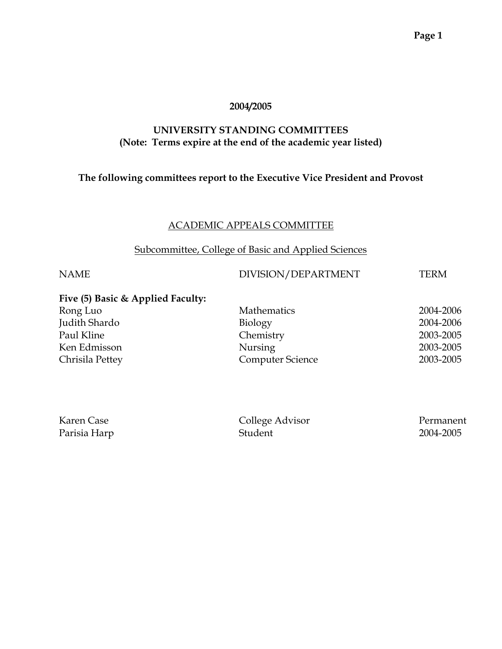#### **2004/2005**

#### **UNIVERSITY STANDING COMMITTEES (Note: Terms expire at the end of the academic year listed)**

### **The following committees report to the Executive Vice President and Provost**

#### ACADEMIC APPEALS COMMITTEE

Subcommittee, College of Basic and Applied Sciences

#### NAME DIVISION/DEPARTMENT TERM

## **Five (5) Basic & Applied Faculty:**

| Rong Luo        | <b>Mathematics</b>      | 2004-2006 |
|-----------------|-------------------------|-----------|
| Judith Shardo   | Biology                 | 2004-2006 |
| Paul Kline      | Chemistry               | 2003-2005 |
| Ken Edmisson    | Nursing                 | 2003-2005 |
| Chrisila Pettey | <b>Computer Science</b> | 2003-2005 |

| Karen Case   | College Advisor | Permanent |
|--------------|-----------------|-----------|
| Parisia Harp | Student         | 2004-2005 |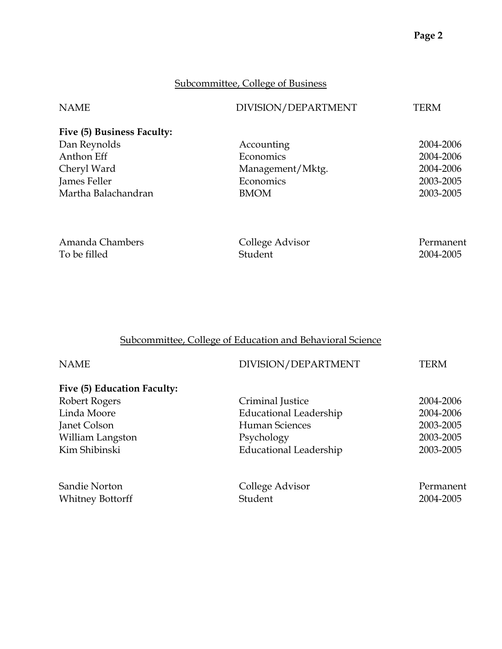# Subcommittee, College of Business

| <b>NAME</b>                | DIVISION/DEPARTMENT | TERM      |
|----------------------------|---------------------|-----------|
| Five (5) Business Faculty: |                     |           |
| Dan Reynolds               | Accounting          | 2004-2006 |
| Anthon Eff                 | Economics           | 2004-2006 |
| Cheryl Ward                | Management/Mktg.    | 2004-2006 |
| James Feller               | Economics           | 2003-2005 |
| Martha Balachandran        | <b>BMOM</b>         | 2003-2005 |
|                            |                     |           |
| Amanda Chambers            | College Advisor     | Permanent |
| To be filled               | Student             | 2004-2005 |

| To be filled | Student | 2004-2005 |
|--------------|---------|-----------|
|              |         |           |

## Subcommittee, College of Education and Behavioral Science

| <b>NAME</b>                 | DIVISION/DEPARTMENT           | TERM      |
|-----------------------------|-------------------------------|-----------|
| Five (5) Education Faculty: |                               |           |
| Robert Rogers               | Criminal Justice              | 2004-2006 |
| Linda Moore                 | <b>Educational Leadership</b> | 2004-2006 |
| Janet Colson                | <b>Human Sciences</b>         | 2003-2005 |
| William Langston            | Psychology                    | 2003-2005 |
| Kim Shibinski               | <b>Educational Leadership</b> | 2003-2005 |
| Sandie Norton               | College Advisor               | Permanent |
| <b>Whitney Bottorff</b>     | Student                       | 2004-2005 |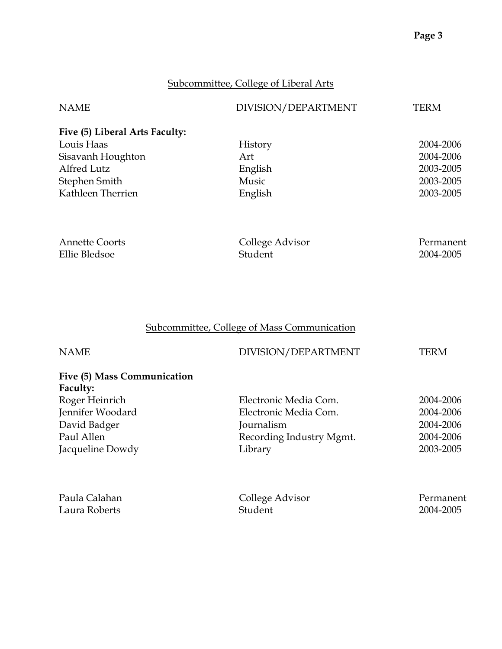## Subcommittee, College of Liberal Arts

| <b>NAME</b>                    | DIVISION/DEPARTMENT | <b>TERM</b> |
|--------------------------------|---------------------|-------------|
| Five (5) Liberal Arts Faculty: |                     |             |
| Louis Haas                     | History             | 2004-2006   |
| Sisavanh Houghton              | Art                 | 2004-2006   |
| Alfred Lutz                    | English             | 2003-2005   |
| Stephen Smith                  | Music               | 2003-2005   |
| Kathleen Therrien              | English             | 2003-2005   |
| <b>Annette Coorts</b>          | College Advisor     | Permanent   |
| Ellie Bledsoe                  | Student             | 2004-2005   |

| Ellie Bledsoe | Student | 2004-2005 |
|---------------|---------|-----------|
|               |         |           |

## Subcommittee, College of Mass Communication

| DIVISION/DEPARTMENT      | TERM            |
|--------------------------|-----------------|
|                          |                 |
| Electronic Media Com.    | 2004-2006       |
| Electronic Media Com.    | 2004-2006       |
| Journalism               | 2004-2006       |
| Recording Industry Mgmt. | 2004-2006       |
| Library                  | 2003-2005       |
|                          | Permanent       |
|                          | College Advisor |

| Paula Calahan | College Advisor | Permanent |
|---------------|-----------------|-----------|
| Laura Roberts | Student         | 2004-2005 |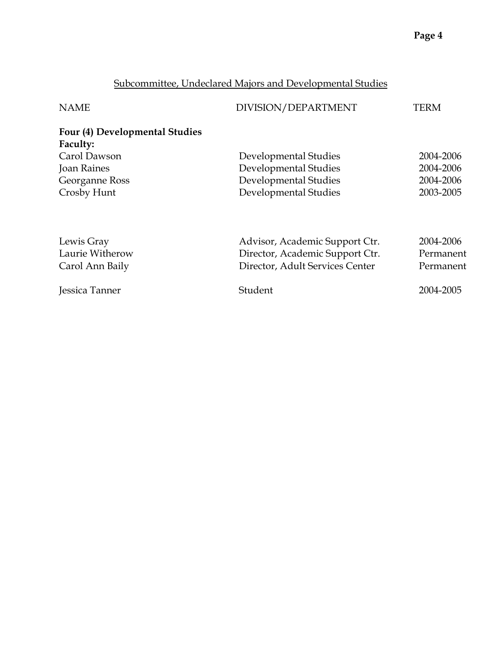# Subcommittee, Undeclared Majors and Developmental Studies

| <b>NAME</b>                    | DIVISION/DEPARTMENT             | TERM      |
|--------------------------------|---------------------------------|-----------|
| Four (4) Developmental Studies |                                 |           |
| Faculty:                       |                                 |           |
| Carol Dawson                   | Developmental Studies           | 2004-2006 |
| Joan Raines                    | Developmental Studies           | 2004-2006 |
| Georganne Ross                 | Developmental Studies           | 2004-2006 |
| Crosby Hunt                    | Developmental Studies           | 2003-2005 |
| Lewis Gray                     | Advisor, Academic Support Ctr.  | 2004-2006 |
| Laurie Witherow                | Director, Academic Support Ctr. | Permanent |
| Carol Ann Baily                | Director, Adult Services Center | Permanent |
| Jessica Tanner                 | Student                         | 2004-2005 |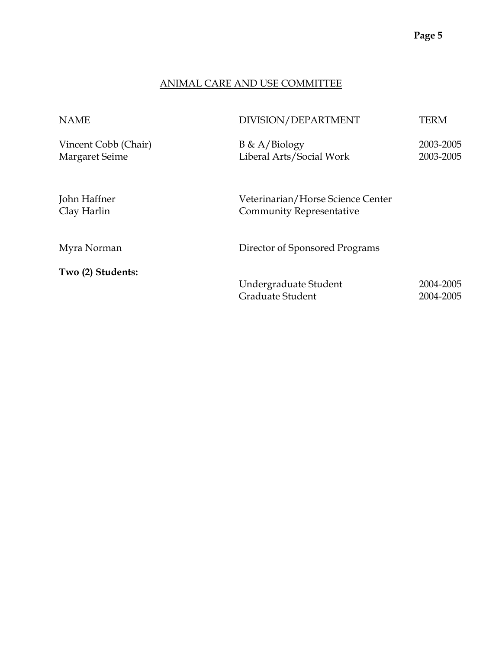#### ANIMAL CARE AND USE COMMITTEE

| <b>NAME</b>                                   | DIVISION/DEPARTMENT                                                  | <b>TERM</b>            |
|-----------------------------------------------|----------------------------------------------------------------------|------------------------|
| Vincent Cobb (Chair)<br><b>Margaret Seime</b> | $B \& A/Biology$<br>Liberal Arts/Social Work                         | 2003-2005<br>2003-2005 |
| John Haffner<br>Clay Harlin                   | Veterinarian/Horse Science Center<br><b>Community Representative</b> |                        |
| Myra Norman                                   | Director of Sponsored Programs                                       |                        |
| Two (2) Students:                             | Undergraduate Student<br>Graduate Student                            | 2004-2005<br>2004-2005 |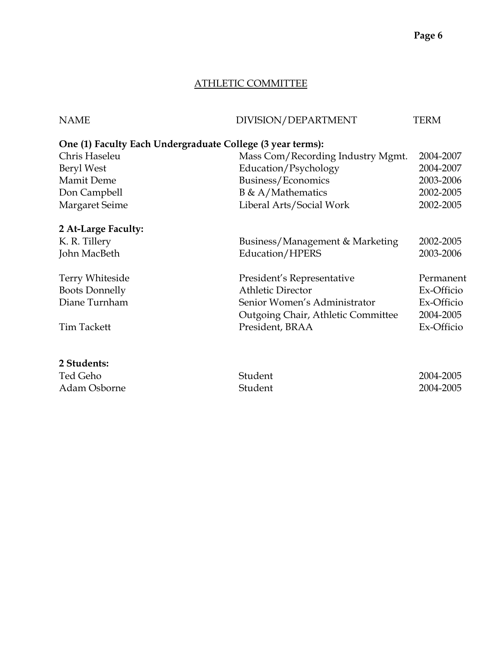# ATHLETIC COMMITTEE

| <b>NAME</b>            | DIVISION/DEPARTMENT                                        | TERM       |
|------------------------|------------------------------------------------------------|------------|
|                        | One (1) Faculty Each Undergraduate College (3 year terms): |            |
| Chris Haseleu          | Mass Com/Recording Industry Mgmt.                          | 2004-2007  |
| Beryl West             | Education/Psychology                                       | 2004-2007  |
| <b>Mamit Deme</b>      | Business/Economics                                         | 2003-2006  |
| Don Campbell           | $B \& A/Mathematics$                                       | 2002-2005  |
| <b>Margaret Seime</b>  | Liberal Arts/Social Work                                   | 2002-2005  |
| 2 At-Large Faculty:    |                                                            |            |
| K. R. Tillery          | Business/Management & Marketing                            | 2002-2005  |
| John MacBeth           | Education/HPERS                                            | 2003-2006  |
| <b>Terry Whiteside</b> | President's Representative                                 | Permanent  |
| <b>Boots Donnelly</b>  | <b>Athletic Director</b>                                   | Ex-Officio |
| Diane Turnham          | Senior Women's Administrator                               | Ex-Officio |
|                        | Outgoing Chair, Athletic Committee                         | 2004-2005  |
| <b>Tim Tackett</b>     | President, BRAA                                            | Ex-Officio |
| 2 Students:            |                                                            |            |
|                        |                                                            |            |

| Ted Geho     | Student | 2004-2005 |
|--------------|---------|-----------|
| Adam Osborne | Student | 2004-2005 |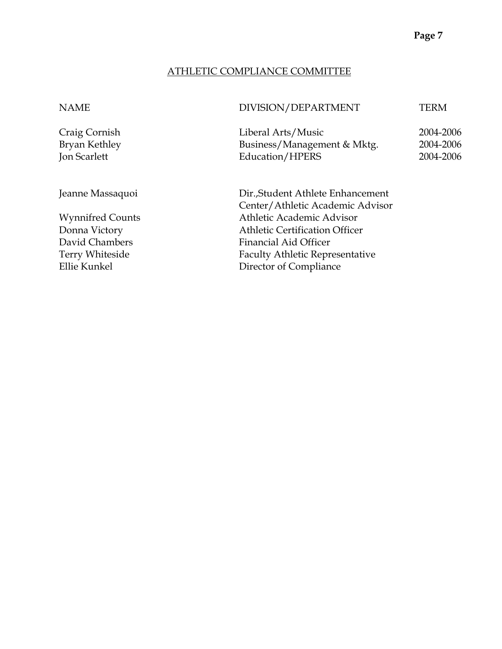#### ATHLETIC COMPLIANCE COMMITTEE

# NAME DIVISION/DEPARTMENT TERM Craig Cornish Liberal Arts/Music 2004-2006 Bryan Kethley Business/Management & Mktg. 2004-2006 Jon Scarlett Education/HPERS 2004-2006 Jeanne Massaquoi Dir.,Student Athlete Enhancement

Center/Athletic Academic Advisor Wynnifred Counts **Athletic Academic Advisor** Donna Victory Athletic Certification Officer David Chambers Financial Aid Officer Terry Whiteside Faculty Athletic Representative<br>Ellie Kunkel Director of Compliance Director of Compliance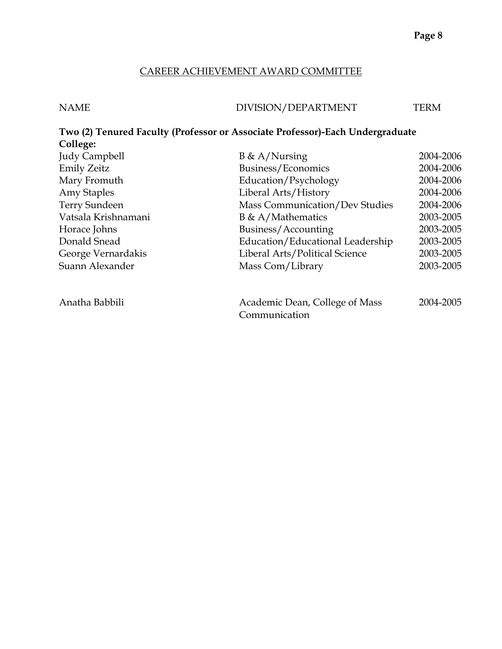#### CAREER ACHIEVEMENT AWARD COMMITTEE

| <b>NAME</b> | DIVISION/DEPARTMENT | <b>TERM</b> |
|-------------|---------------------|-------------|
|             |                     |             |

#### **Two (2) Tenured Faculty (Professor or Associate Professor)-Each Undergraduate College:**  B & A/Nursing 2004-2006 Emily Zeitz Business/Economics 2004-2006 Mary Fromuth Education/Psychology 2004-2006 Amy Staples Liberal Arts/History 2004-2006

| $m_{\rm c}$ and $m_{\rm c}$ and $m_{\rm c}$ | $\sim$ 0 $\sim$ 0 $\sim$ |
|---------------------------------------------|--------------------------|
| Mass Communication/Dev Studies              | 2004-2006                |
| $B \& A/Mathematics$                        | 2003-2005                |
| Business/Accounting                         | 2003-2005                |
| Education/Educational Leadership            | 2003-2005                |
| Liberal Arts/Political Science              | 2003-2005                |
| Mass Com/Library                            | 2003-2005                |
| Academic Dean, College of Mass              | 2004-2005                |
|                                             |                          |

Communication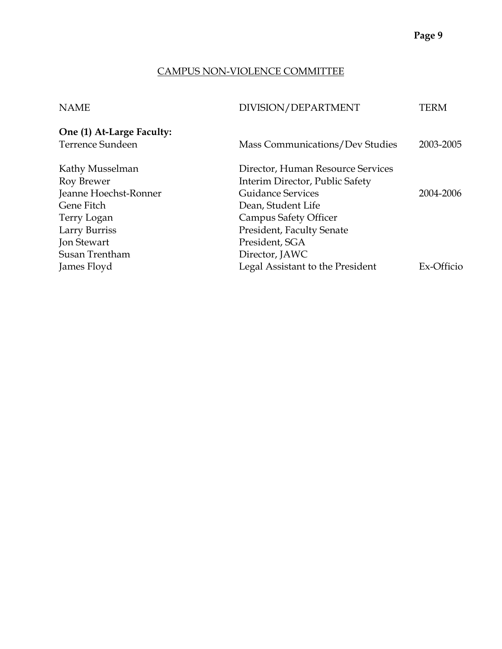#### CAMPUS NON-VIOLENCE COMMITTEE

| <b>NAME</b>               | DIVISION/DEPARTMENT               | TERM       |
|---------------------------|-----------------------------------|------------|
| One (1) At-Large Faculty: |                                   |            |
| Terrence Sundeen          | Mass Communications/Dev Studies   | 2003-2005  |
| Kathy Musselman           | Director, Human Resource Services |            |
| Roy Brewer                | Interim Director, Public Safety   |            |
| Jeanne Hoechst-Ronner     | <b>Guidance Services</b>          | 2004-2006  |
| Gene Fitch                | Dean, Student Life                |            |
| Terry Logan               | <b>Campus Safety Officer</b>      |            |
| Larry Burriss             | <b>President, Faculty Senate</b>  |            |
| Jon Stewart               | President, SGA                    |            |
| Susan Trentham            | Director, JAWC                    |            |
| James Floyd               | Legal Assistant to the President  | Ex-Officio |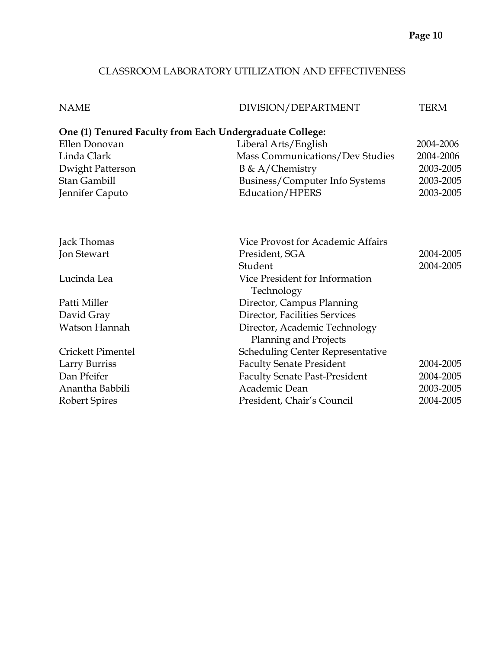#### CLASSROOM LABORATORY UTILIZATION AND EFFECTIVENESS

| <b>NAME</b>                                              | DIVISION/DEPARTMENT                     | <b>TERM</b> |
|----------------------------------------------------------|-----------------------------------------|-------------|
| One (1) Tenured Faculty from Each Undergraduate College: |                                         |             |
| Ellen Donovan                                            | Liberal Arts/English                    | 2004-2006   |
| Linda Clark                                              | Mass Communications/Dev Studies         | 2004-2006   |
| Dwight Patterson                                         | $B \& A/Chemistry$                      | 2003-2005   |
| Stan Gambill                                             | Business/Computer Info Systems          | 2003-2005   |
| Jennifer Caputo                                          | Education/HPERS                         | 2003-2005   |
|                                                          |                                         |             |
| Jack Thomas                                              | Vice Provost for Academic Affairs       |             |
| Jon Stewart                                              | President, SGA                          | 2004-2005   |
|                                                          | Student                                 | 2004-2005   |
| Lucinda Lea                                              | Vice President for Information          |             |
|                                                          | Technology                              |             |
| Patti Miller                                             | Director, Campus Planning               |             |
| David Gray                                               | Director, Facilities Services           |             |
| Watson Hannah                                            | Director, Academic Technology           |             |
|                                                          | <b>Planning and Projects</b>            |             |
| Crickett Pimentel                                        | <b>Scheduling Center Representative</b> |             |
| Larry Burriss                                            | <b>Faculty Senate President</b>         | 2004-2005   |
| Dan Pfeifer                                              | <b>Faculty Senate Past-President</b>    | 2004-2005   |
| Anantha Babbili                                          | Academic Dean                           | 2003-2005   |
| <b>Robert Spires</b>                                     | President, Chair's Council              | 2004-2005   |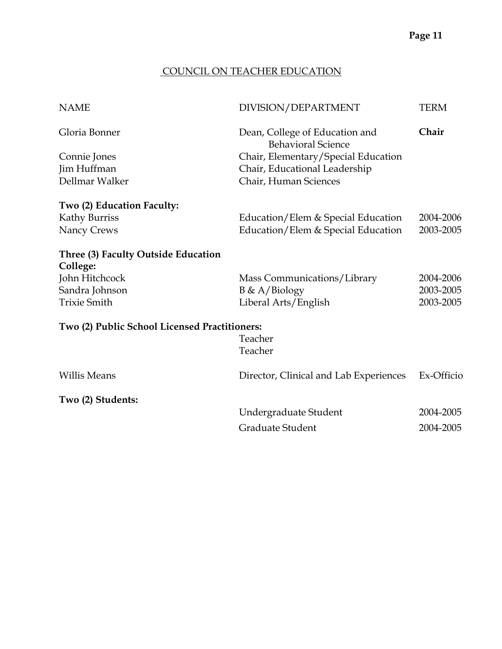#### COUNCIL ON TEACHER EDUCATION

| <b>NAME</b>                                     | DIVISION/DEPARTMENT                                         | <b>TERM</b> |
|-------------------------------------------------|-------------------------------------------------------------|-------------|
| Gloria Bonner                                   | Dean, College of Education and<br><b>Behavioral Science</b> | Chair       |
| Connie Jones                                    | Chair, Elementary/Special Education                         |             |
| Jim Huffman                                     | Chair, Educational Leadership                               |             |
| Dellmar Walker                                  | Chair, Human Sciences                                       |             |
| Two (2) Education Faculty:                      |                                                             |             |
| <b>Kathy Burriss</b>                            | Education/Elem & Special Education                          | 2004-2006   |
| Nancy Crews                                     | Education/Elem & Special Education                          | 2003-2005   |
| Three (3) Faculty Outside Education<br>College: |                                                             |             |
| John Hitchcock                                  | Mass Communications/Library                                 | 2004-2006   |
| Sandra Johnson                                  | $B \& A/Biology$                                            | 2003-2005   |
| <b>Trixie Smith</b>                             | Liberal Arts/English                                        | 2003-2005   |
| Two (2) Public School Licensed Practitioners:   |                                                             |             |
|                                                 | Teacher                                                     |             |
|                                                 | Teacher                                                     |             |
| <b>Willis Means</b>                             | Director, Clinical and Lab Experiences                      | Ex-Officio  |
| Two (2) Students:                               |                                                             |             |
|                                                 | Undergraduate Student                                       | 2004-2005   |
|                                                 | Graduate Student                                            | 2004-2005   |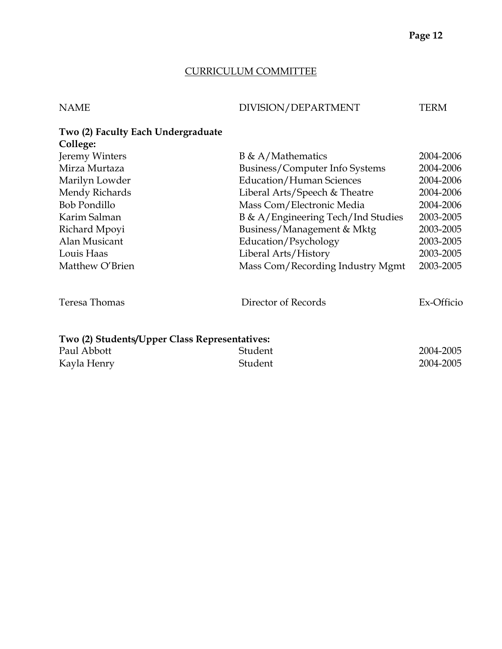#### CURRICULUM COMMITTEE

| <b>NAME</b>                                    | DIVISION/DEPARTMENT                | TERM       |  |
|------------------------------------------------|------------------------------------|------------|--|
| Two (2) Faculty Each Undergraduate<br>College: |                                    |            |  |
| Jeremy Winters                                 | $B \& A/Mathematics$               | 2004-2006  |  |
| Mirza Murtaza                                  | Business/Computer Info Systems     | 2004-2006  |  |
| Marilyn Lowder                                 | <b>Education/Human Sciences</b>    | 2004-2006  |  |
| Mendy Richards                                 | Liberal Arts/Speech & Theatre      | 2004-2006  |  |
| <b>Bob Pondillo</b>                            | Mass Com/Electronic Media          | 2004-2006  |  |
| Karim Salman                                   | B & A/Engineering Tech/Ind Studies | 2003-2005  |  |
| Richard Mpoyi                                  | Business/Management & Mktg         | 2003-2005  |  |
| Alan Musicant                                  | Education/Psychology               | 2003-2005  |  |
| Louis Haas                                     | Liberal Arts/History               | 2003-2005  |  |
| Matthew O'Brien                                | Mass Com/Recording Industry Mgmt   | 2003-2005  |  |
| Teresa Thomas                                  | Director of Records                | Ex-Officio |  |
| Two (2) Students/Upper Class Representatives:  |                                    |            |  |
| Paul Abbott                                    | Student                            | 2004-2005  |  |
| Kayla Henry                                    | Student                            | 2004-2005  |  |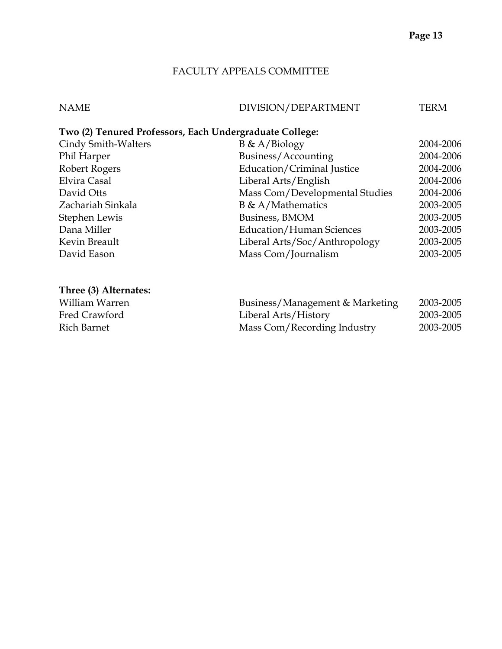#### FACULTY APPEALS COMMITTEE

| <b>NAME</b>                                             | DIVISION/DEPARTMENT            | TERM      |
|---------------------------------------------------------|--------------------------------|-----------|
| Two (2) Tenured Professors, Each Undergraduate College: |                                |           |
| Cindy Smith-Walters                                     | $B \& A/Biology$               | 2004-2006 |
| Phil Harper                                             | Business/Accounting            | 2004-2006 |
| Robert Rogers                                           | Education/Criminal Justice     | 2004-2006 |
| Elvira Casal                                            | Liberal Arts/English           | 2004-2006 |
| David Otts                                              | Mass Com/Developmental Studies | 2004-2006 |
| Zachariah Sinkala                                       | $B \& A/Mathematics$           | 2003-2005 |
| Stephen Lewis                                           | Business, BMOM                 | 2003-2005 |
| Dana Miller                                             | Education/Human Sciences       | 2003-2005 |

| 204101111121          | Laucation, Frantan Sciences   | $\sim$    |
|-----------------------|-------------------------------|-----------|
| Kevin Breault         | Liberal Arts/Soc/Anthropology | 2003-2005 |
| David Eason           | Mass Com/Journalism           | 2003-2005 |
| Three (3) Alternates: |                               |           |
|                       |                               |           |

| William Warren | Business/Management & Marketing | 2003-2005 |
|----------------|---------------------------------|-----------|
| Fred Crawford  | Liberal Arts/History            | 2003-2005 |
| Rich Barnet    | Mass Com/Recording Industry     | 2003-2005 |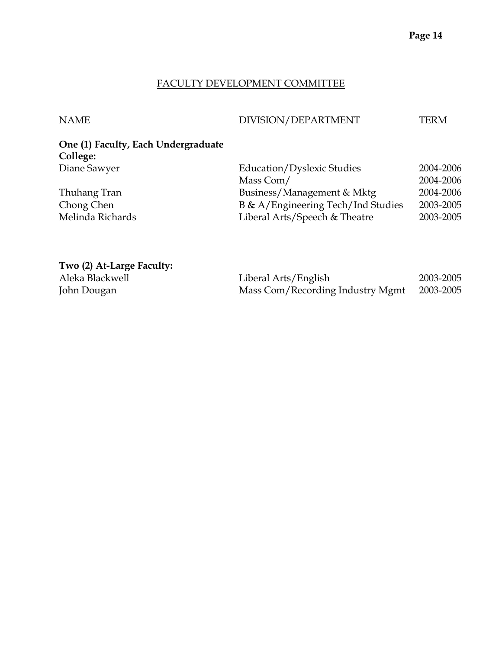#### FACULTY DEVELOPMENT COMMITTEE

#### NAME DIVISION/DEPARTMENT TERM

**One (1) Faculty, Each Undergraduate College:** 

| Diane Sawyer     | Education/Dyslexic Studies         | 2004-2006 |
|------------------|------------------------------------|-----------|
|                  | Mass Com/                          | 2004-2006 |
| Thuhang Tran     | Business/Management & Mktg         | 2004-2006 |
| Chong Chen       | B & A/Engineering Tech/Ind Studies | 2003-2005 |
| Melinda Richards | Liberal Arts/Speech & Theatre      | 2003-2005 |

## **Two (2) At-Large Faculty:**  Aleka Blackwell

| Aleka Blackwell | Liberal Arts/English             | 2003-2005 |
|-----------------|----------------------------------|-----------|
| John Dougan     | Mass Com/Recording Industry Mgmt | 2003-2005 |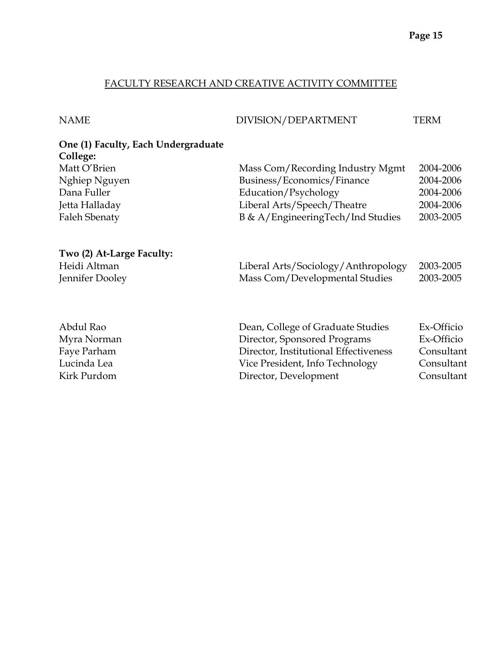#### **Page 15**

#### FACULTY RESEARCH AND CREATIVE ACTIVITY COMMITTEE

#### NAME DIVISION/DEPARTMENT TERM

### **One (1) Faculty, Each Undergraduate College:**

| Matt O'Brien   | Mass Com/Recording Industry Mgmt  | 2004-2006 |
|----------------|-----------------------------------|-----------|
| Nghiep Nguyen  | Business/Economics/Finance        | 2004-2006 |
| Dana Fuller    | Education/Psychology              | 2004-2006 |
| Jetta Halladay | Liberal Arts/Speech/Theatre       | 2004-2006 |
| Faleh Sbenaty  | B & A/EngineeringTech/Ind Studies | 2003-2005 |

#### **Two (2) At-Large Faculty:**

| Heidi Altman    | Liberal Arts/Sociology/Anthropology 2003-2005 |           |
|-----------------|-----------------------------------------------|-----------|
| Jennifer Dooley | Mass Com/Developmental Studies                | 2003-2005 |

| Abdul Rao   | Dean, College of Graduate Studies     | Ex-Officio |
|-------------|---------------------------------------|------------|
| Myra Norman | Director, Sponsored Programs          | Ex-Officio |
| Faye Parham | Director, Institutional Effectiveness | Consultant |
| Lucinda Lea | Vice President, Info Technology       | Consultant |
| Kirk Purdom | Director, Development                 | Consultant |
|             |                                       |            |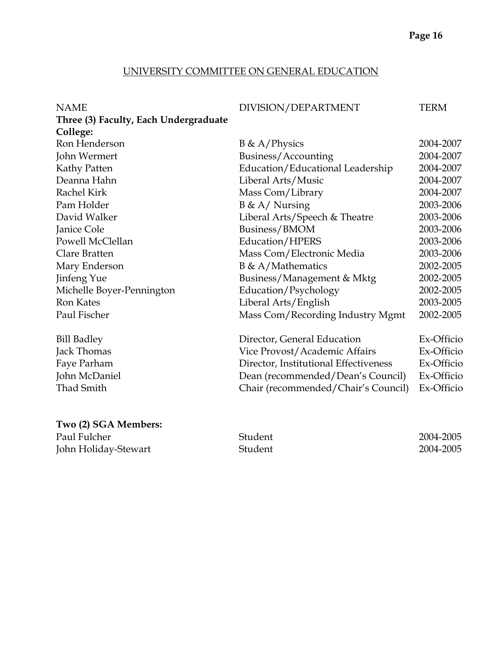#### UNIVERSITY COMMITTEE ON GENERAL EDUCATION

| <b>NAME</b>                           | DIVISION/DEPARTMENT                   | <b>TERM</b> |
|---------------------------------------|---------------------------------------|-------------|
| Three (3) Faculty, Each Undergraduate |                                       |             |
| College:                              |                                       |             |
| Ron Henderson                         | $B \& A/P$ hysics                     | 2004-2007   |
| John Wermert                          | Business/Accounting                   | 2004-2007   |
| Kathy Patten                          | Education/Educational Leadership      | 2004-2007   |
| Deanna Hahn                           | Liberal Arts/Music                    | 2004-2007   |
| Rachel Kirk                           | Mass Com/Library                      | 2004-2007   |
| Pam Holder                            | $B \& A / \text{Nursing}$             | 2003-2006   |
| David Walker                          | Liberal Arts/Speech & Theatre         | 2003-2006   |
| Janice Cole                           | Business/BMOM                         | 2003-2006   |
| Powell McClellan                      | Education/HPERS                       | 2003-2006   |
| Clare Bratten                         | Mass Com/Electronic Media             | 2003-2006   |
| Mary Enderson                         | $B \& A/Mathematics$                  | 2002-2005   |
| Jinfeng Yue                           | Business/Management & Mktg            | 2002-2005   |
| Michelle Boyer-Pennington             | Education/Psychology                  | 2002-2005   |
| <b>Ron Kates</b>                      | Liberal Arts/English                  | 2003-2005   |
| Paul Fischer                          | Mass Com/Recording Industry Mgmt      | 2002-2005   |
| <b>Bill Badley</b>                    | Director, General Education           | Ex-Officio  |
| Jack Thomas                           | Vice Provost/Academic Affairs         | Ex-Officio  |
| Faye Parham                           | Director, Institutional Effectiveness | Ex-Officio  |
| John McDaniel                         | Dean (recommended/Dean's Council)     | Ex-Officio  |
| <b>Thad Smith</b>                     | Chair (recommended/Chair's Council)   | Ex-Officio  |
|                                       |                                       |             |

## **Two (2) SGA Members:**

Paul Fulcher John Holiday-Stewart Student Student 2004-2005 2004-2005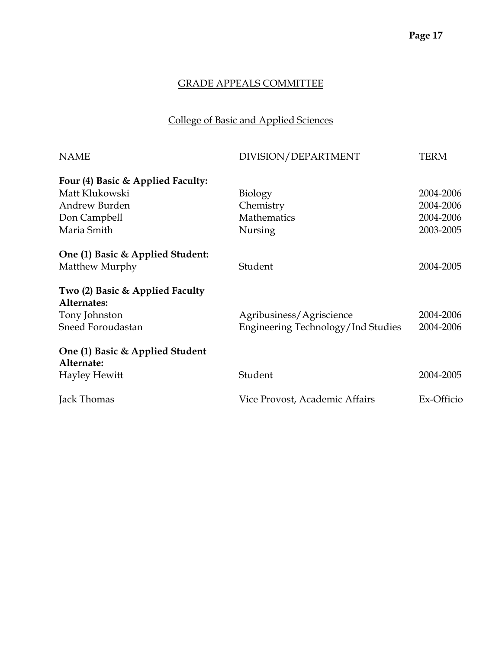# College of Basic and Applied Sciences

| <b>NAME</b>                                    | DIVISION/DEPARTMENT                | TERM       |
|------------------------------------------------|------------------------------------|------------|
| Four (4) Basic & Applied Faculty:              |                                    |            |
| Matt Klukowski                                 | Biology                            | 2004-2006  |
| Andrew Burden                                  | Chemistry                          | 2004-2006  |
| Don Campbell                                   | <b>Mathematics</b>                 | 2004-2006  |
| Maria Smith                                    | Nursing                            | 2003-2005  |
| One (1) Basic & Applied Student:               |                                    |            |
| Matthew Murphy                                 | Student                            | 2004-2005  |
| Two (2) Basic & Applied Faculty<br>Alternates: |                                    |            |
| Tony Johnston                                  | Agribusiness/Agriscience           | 2004-2006  |
| Sneed Foroudastan                              | Engineering Technology/Ind Studies | 2004-2006  |
| One (1) Basic & Applied Student<br>Alternate:  |                                    |            |
| <b>Hayley Hewitt</b>                           | Student                            | 2004-2005  |
| Jack Thomas                                    | Vice Provost, Academic Affairs     | Ex-Officio |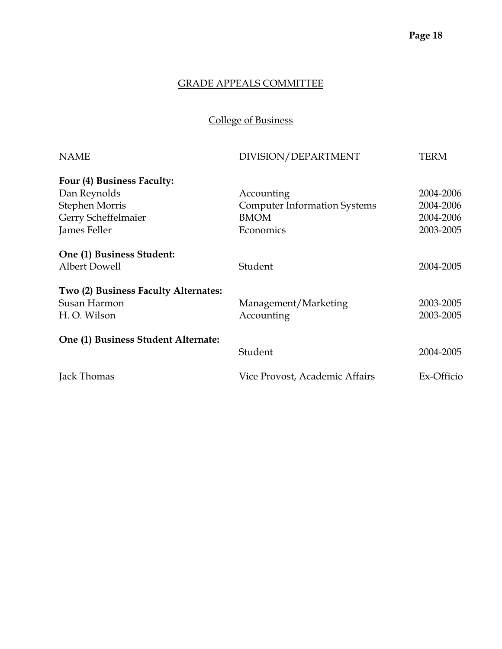College of Business

| <b>NAME</b>                          | DIVISION/DEPARTMENT                 | TERM       |
|--------------------------------------|-------------------------------------|------------|
| Four (4) Business Faculty:           |                                     |            |
| Dan Reynolds                         | Accounting                          | 2004-2006  |
| <b>Stephen Morris</b>                | <b>Computer Information Systems</b> | 2004-2006  |
| Gerry Scheffelmaier                  | <b>BMOM</b>                         | 2004-2006  |
| James Feller                         | Economics                           | 2003-2005  |
| One (1) Business Student:            |                                     |            |
| <b>Albert Dowell</b>                 | Student                             | 2004-2005  |
| Two (2) Business Faculty Alternates: |                                     |            |
| Susan Harmon                         | Management/Marketing                | 2003-2005  |
| H.O. Wilson                          | Accounting                          | 2003-2005  |
| One (1) Business Student Alternate:  |                                     |            |
|                                      | Student                             | 2004-2005  |
| Jack Thomas                          | Vice Provost, Academic Affairs      | Ex-Officio |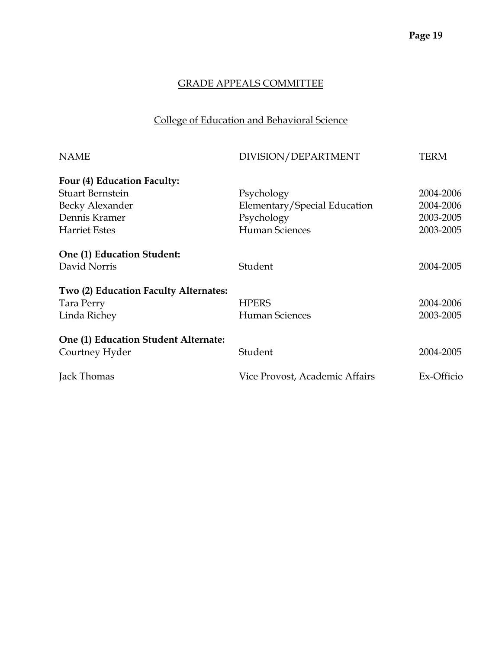# College of Education and Behavioral Science

| <b>NAME</b>                           | DIVISION/DEPARTMENT            | TERM       |
|---------------------------------------|--------------------------------|------------|
| Four (4) Education Faculty:           |                                |            |
| Stuart Bernstein                      | Psychology                     | 2004-2006  |
| Becky Alexander                       | Elementary/Special Education   | 2004-2006  |
| Dennis Kramer                         | Psychology                     | 2003-2005  |
| <b>Harriet Estes</b>                  | <b>Human Sciences</b>          | 2003-2005  |
| One (1) Education Student:            |                                |            |
| David Norris                          | Student                        | 2004-2005  |
| Two (2) Education Faculty Alternates: |                                |            |
| Tara Perry                            | <b>HPERS</b>                   | 2004-2006  |
| Linda Richey                          | Human Sciences                 | 2003-2005  |
| One (1) Education Student Alternate:  |                                |            |
| Courtney Hyder                        | Student                        | 2004-2005  |
| Jack Thomas                           | Vice Provost, Academic Affairs | Ex-Officio |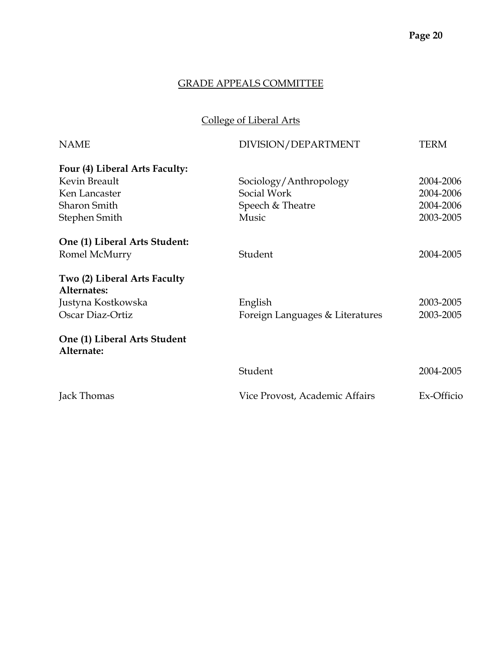# College of Liberal Arts

| <b>NAME</b>                                | DIVISION/DEPARTMENT             | <b>TERM</b> |
|--------------------------------------------|---------------------------------|-------------|
| Four (4) Liberal Arts Faculty:             |                                 |             |
| Kevin Breault                              | Sociology/Anthropology          | 2004-2006   |
| Ken Lancaster                              | Social Work                     | 2004-2006   |
| Sharon Smith                               | Speech & Theatre                | 2004-2006   |
| Stephen Smith                              | Music                           | 2003-2005   |
| One (1) Liberal Arts Student:              |                                 |             |
| Romel McMurry                              | Student                         | 2004-2005   |
| Two (2) Liberal Arts Faculty               |                                 |             |
| Alternates:                                |                                 |             |
| Justyna Kostkowska                         | English                         | 2003-2005   |
| Oscar Diaz-Ortiz                           | Foreign Languages & Literatures | 2003-2005   |
| One (1) Liberal Arts Student<br>Alternate: |                                 |             |
|                                            | Student                         | 2004-2005   |
| Jack Thomas                                | Vice Provost, Academic Affairs  | Ex-Officio  |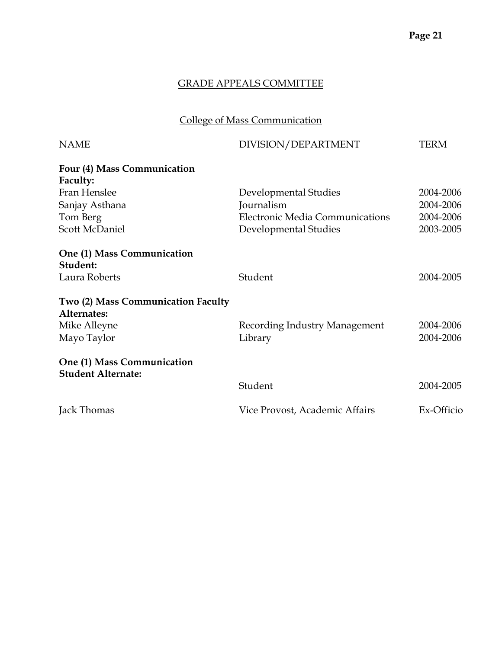# College of Mass Communication

| <b>NAME</b>                                             | DIVISION/DEPARTMENT                    | TERM       |
|---------------------------------------------------------|----------------------------------------|------------|
| Four (4) Mass Communication<br>Faculty:                 |                                        |            |
| Fran Henslee                                            | Developmental Studies                  | 2004-2006  |
| Sanjay Asthana                                          | Journalism                             | 2004-2006  |
| Tom Berg                                                | <b>Electronic Media Communications</b> | 2004-2006  |
| Scott McDaniel                                          | Developmental Studies                  | 2003-2005  |
| One (1) Mass Communication<br>Student:                  |                                        |            |
| Laura Roberts                                           | Student                                | 2004-2005  |
| Two (2) Mass Communication Faculty<br>Alternates:       |                                        |            |
| Mike Alleyne                                            | Recording Industry Management          | 2004-2006  |
| Mayo Taylor                                             | Library                                | 2004-2006  |
| One (1) Mass Communication<br><b>Student Alternate:</b> |                                        |            |
|                                                         | Student                                | 2004-2005  |
| Jack Thomas                                             | Vice Provost, Academic Affairs         | Ex-Officio |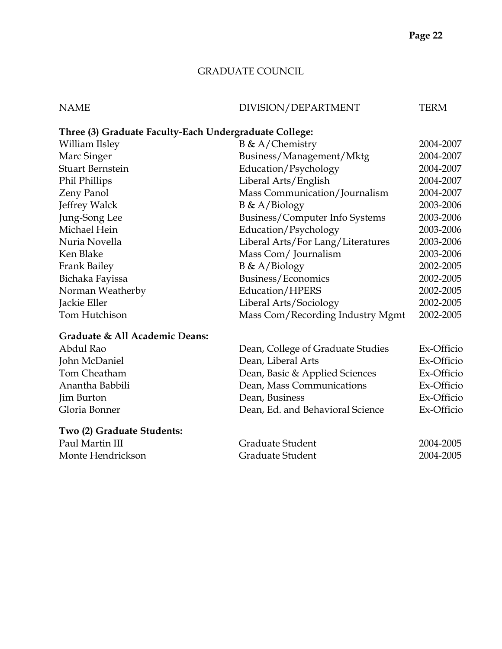#### GRADUATE COUNCIL

| NAME | DIVISION/DEPARTMENT | TERM |
|------|---------------------|------|
|      |                     |      |

## **Three (3) Graduate Faculty-Each Undergraduate College:**

| William Ilsley      | $B \& A/Chemistry$                | 2004-2007 |
|---------------------|-----------------------------------|-----------|
| Marc Singer         | Business/Management/Mktg          | 2004-2007 |
| Stuart Bernstein    | Education/Psychology              | 2004-2007 |
| Phil Phillips       | Liberal Arts/English              | 2004-2007 |
| <b>Zeny Panol</b>   | Mass Communication/Journalism     | 2004-2007 |
| Jeffrey Walck       | $B \& A/Biology$                  | 2003-2006 |
| Jung-Song Lee       | Business/Computer Info Systems    | 2003-2006 |
| Michael Hein        | Education/Psychology              | 2003-2006 |
| Nuria Novella       | Liberal Arts/For Lang/Literatures | 2003-2006 |
| Ken Blake           | Mass Com/ Journalism              | 2003-2006 |
| <b>Frank Bailey</b> | $B \& A/Biology$                  | 2002-2005 |
| Bichaka Fayissa     | Business/Economics                | 2002-2005 |
| Norman Weatherby    | Education/HPERS                   | 2002-2005 |
| Jackie Eller        | Liberal Arts/Sociology            | 2002-2005 |
| Tom Hutchison       | Mass Com/Recording Industry Mgmt  | 2002-2005 |
|                     |                                   |           |

## **Graduate & All Academic Deans:**

| Abdul Rao                  | Dean, College of Graduate Studies | Ex-Officio |
|----------------------------|-----------------------------------|------------|
| John McDaniel              | Dean, Liberal Arts                | Ex-Officio |
| Tom Cheatham               | Dean, Basic & Applied Sciences    | Ex-Officio |
| Anantha Babbili            | Dean, Mass Communications         | Ex-Officio |
| <b>Jim Burton</b>          | Dean, Business                    | Ex-Officio |
| Gloria Bonner              | Dean, Ed. and Behavioral Science  | Ex-Officio |
| Two (2) Graduate Students: |                                   |            |
| Paul Martin III            | Graduate Student                  | 2004-2005  |

Monte Hendrickson Graduate Student 2004-2005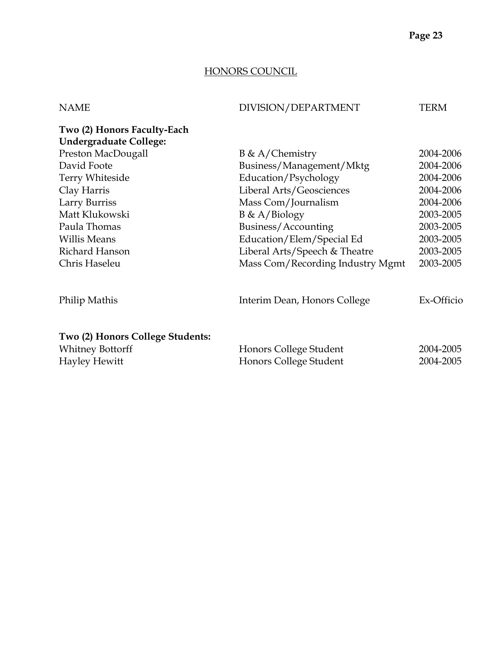#### HONORS COUNCIL

| <b>NAME</b>                                                                         | DIVISION/DEPARTMENT                              | TERM                   |
|-------------------------------------------------------------------------------------|--------------------------------------------------|------------------------|
| Two (2) Honors Faculty-Each<br><b>Undergraduate College:</b>                        |                                                  |                        |
| Preston MacDougall                                                                  | $B \& A/Chemistry$                               | 2004-2006              |
| David Foote                                                                         | Business/Management/Mktg                         | 2004-2006              |
| Terry Whiteside                                                                     | Education/Psychology                             | 2004-2006              |
| Clay Harris                                                                         | Liberal Arts/Geosciences                         | 2004-2006              |
| Larry Burriss                                                                       | Mass Com/Journalism                              | 2004-2006              |
| Matt Klukowski                                                                      | $B \& A/Biology$                                 | 2003-2005              |
| Paula Thomas                                                                        | Business/Accounting                              | 2003-2005              |
| <b>Willis Means</b>                                                                 | Education/Elem/Special Ed                        | 2003-2005              |
| Richard Hanson                                                                      | Liberal Arts/Speech & Theatre                    | 2003-2005              |
| Chris Haseleu                                                                       | Mass Com/Recording Industry Mgmt                 | 2003-2005              |
| Philip Mathis                                                                       | Interim Dean, Honors College                     | Ex-Officio             |
| Two (2) Honors College Students:<br><b>Whitney Bottorff</b><br><b>Hayley Hewitt</b> | Honors College Student<br>Honors College Student | 2004-2005<br>2004-2005 |
|                                                                                     |                                                  |                        |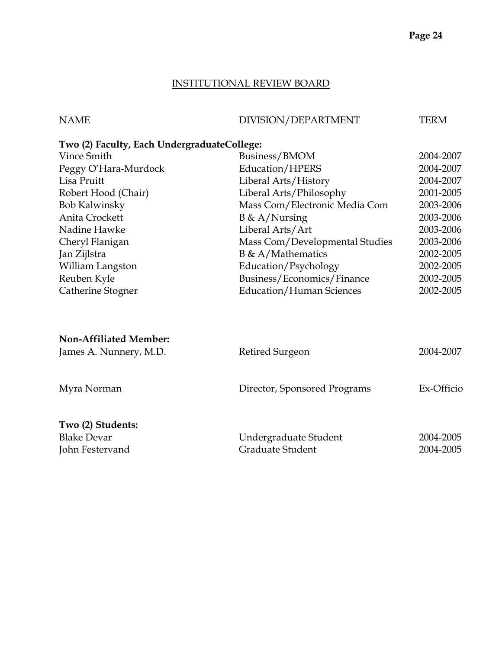## INSTITUTIONAL REVIEW BOARD

### NAME DIVISION/DEPARTMENT TERM

#### **Two (2) Faculty, Each UndergraduateCollege:**

| Vince Smith          | Business/BMOM                   | 2004-2007 |
|----------------------|---------------------------------|-----------|
| Peggy O'Hara-Murdock | Education/HPERS                 | 2004-2007 |
| Lisa Pruitt          | Liberal Arts/History            | 2004-2007 |
| Robert Hood (Chair)  | Liberal Arts/Philosophy         | 2001-2005 |
| <b>Bob Kalwinsky</b> | Mass Com/Electronic Media Com   | 2003-2006 |
| Anita Crockett       | $B \& A/Nursing$                | 2003-2006 |
| Nadine Hawke         | Liberal Arts/Art                | 2003-2006 |
| Cheryl Flanigan      | Mass Com/Developmental Studies  | 2003-2006 |
| Jan Zijlstra         | $B \& A/Mathematics$            | 2002-2005 |
| William Langston     | Education/Psychology            | 2002-2005 |
| Reuben Kyle          | Business/Economics/Finance      | 2002-2005 |
| Catherine Stogner    | <b>Education/Human Sciences</b> | 2002-2005 |

#### **Non-Affiliated Member:**

| James A. Nunnery, M.D.                                     | Retired Surgeon                           | 2004-2007              |
|------------------------------------------------------------|-------------------------------------------|------------------------|
| Myra Norman                                                | Director, Sponsored Programs              | Ex-Officio             |
| Two (2) Students:<br><b>Blake Devar</b><br>John Festervand | Undergraduate Student<br>Graduate Student | 2004-2005<br>2004-2005 |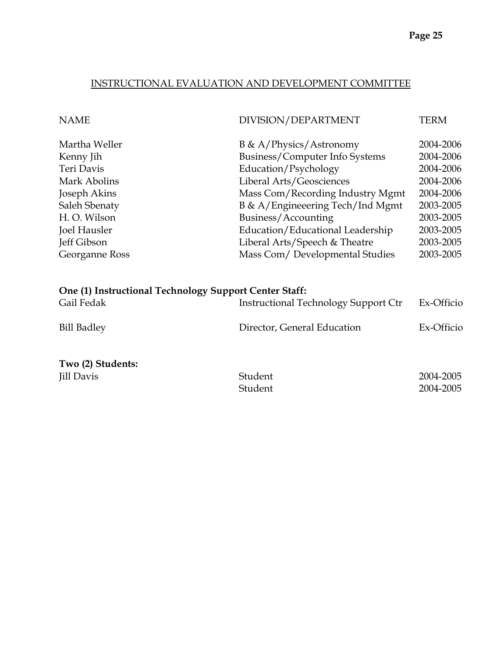#### INSTRUCTIONAL EVALUATION AND DEVELOPMENT COMMITTEE

| <b>NAME</b>                                            | DIVISION/DEPARTMENT                         | <b>TERM</b> |
|--------------------------------------------------------|---------------------------------------------|-------------|
| Martha Weller                                          | B & A/Physics/Astronomy                     | 2004-2006   |
| Kenny Jih                                              | Business/Computer Info Systems              | 2004-2006   |
| Teri Davis                                             | Education/Psychology                        | 2004-2006   |
| Mark Abolins                                           | Liberal Arts/Geosciences                    | 2004-2006   |
| Joseph Akins                                           | Mass Com/Recording Industry Mgmt            | 2004-2006   |
| Saleh Sbenaty                                          | B & A/Engineeering Tech/Ind Mgmt            | 2003-2005   |
| H.O. Wilson                                            | Business/Accounting                         | 2003-2005   |
| Joel Hausler                                           | Education/Educational Leadership            | 2003-2005   |
| Jeff Gibson                                            | Liberal Arts/Speech & Theatre               | 2003-2005   |
| Georganne Ross                                         | Mass Com/ Developmental Studies             | 2003-2005   |
| One (1) Instructional Technology Support Center Staff: |                                             |             |
| Gail Fedak                                             | <b>Instructional Technology Support Ctr</b> | Ex-Officio  |
| <b>Bill Badley</b>                                     | Director, General Education                 | Ex-Officio  |
| Two (2) Students:<br><b>Jill Davis</b>                 | Student                                     | 2004-2005   |
|                                                        |                                             |             |

Student 2004-2005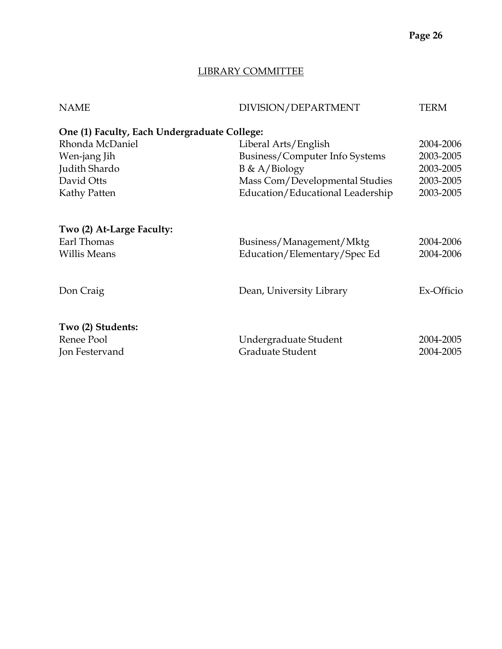### LIBRARY COMMITTEE

| <b>NAME</b>                                  | DIVISION/DEPARTMENT              | <b>TERM</b> |
|----------------------------------------------|----------------------------------|-------------|
| One (1) Faculty, Each Undergraduate College: |                                  |             |
| Rhonda McDaniel                              | Liberal Arts/English             | 2004-2006   |
| Wen-jang Jih                                 | Business/Computer Info Systems   | 2003-2005   |
| Judith Shardo                                | $B \& A/Biology$                 | 2003-2005   |
| David Otts                                   | Mass Com/Developmental Studies   | 2003-2005   |
| Kathy Patten                                 | Education/Educational Leadership | 2003-2005   |
| Two (2) At-Large Faculty:                    |                                  |             |
| Earl Thomas                                  | Business/Management/Mktg         | 2004-2006   |
| <b>Willis Means</b>                          | Education/Elementary/Spec Ed     | 2004-2006   |
| Don Craig                                    | Dean, University Library         | Ex-Officio  |
| Two (2) Students:                            |                                  |             |
| Renee Pool                                   | Undergraduate Student            | 2004-2005   |
| Jon Festervand                               | <b>Graduate Student</b>          | 2004-2005   |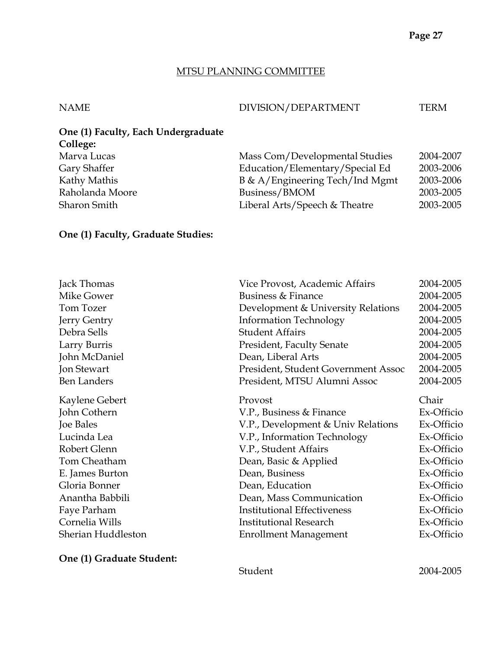#### MTSU PLANNING COMMITTEE

| NAME | DIVISION/DEPARTMENT | TERM |
|------|---------------------|------|
|      |                     |      |

#### **One (1) Faculty, Each Undergraduate College:**  Marva Lucas Gary Shaffer Kathy Mathis Raholanda Moore

| Mass Com/Developmental Studies  | 2004-2007 |
|---------------------------------|-----------|
| Education/Elementary/Special Ed | 2003-2006 |
| B & A/Engineering Tech/Ind Mgmt | 2003-2006 |
| Business/BMOM                   | 2003-2005 |
| Liberal Arts/Speech & Theatre   | 2003-2005 |

#### **One (1) Faculty, Graduate Studies:**

Sharon Smith

| Jack Thomas<br>Mike Gower<br>Tom Tozer<br>Jerry Gentry<br>Debra Sells | Vice Provost, Academic Affairs<br>Business & Finance<br>Development & University Relations<br><b>Information Technology</b><br><b>Student Affairs</b> | 2004-2005<br>2004-2005<br>2004-2005<br>2004-2005<br>2004-2005 |
|-----------------------------------------------------------------------|-------------------------------------------------------------------------------------------------------------------------------------------------------|---------------------------------------------------------------|
| Larry Burris                                                          | <b>President, Faculty Senate</b>                                                                                                                      | 2004-2005                                                     |
| John McDaniel                                                         | Dean, Liberal Arts                                                                                                                                    | 2004-2005                                                     |
| Jon Stewart                                                           | President, Student Government Assoc                                                                                                                   | 2004-2005                                                     |
| <b>Ben Landers</b>                                                    | President, MTSU Alumni Assoc                                                                                                                          | 2004-2005                                                     |
| Kaylene Gebert                                                        | Provost                                                                                                                                               | Chair                                                         |
| John Cothern                                                          | V.P., Business & Finance                                                                                                                              | Ex-Officio                                                    |
| Joe Bales                                                             | V.P., Development & Univ Relations                                                                                                                    | Ex-Officio                                                    |
| Lucinda Lea                                                           | V.P., Information Technology                                                                                                                          | Ex-Officio                                                    |
| Robert Glenn                                                          | V.P., Student Affairs                                                                                                                                 | Ex-Officio                                                    |
| Tom Cheatham                                                          | Dean, Basic & Applied                                                                                                                                 | Ex-Officio                                                    |
| E. James Burton                                                       | Dean, Business                                                                                                                                        | Ex-Officio                                                    |
| Gloria Bonner                                                         | Dean, Education                                                                                                                                       | Ex-Officio                                                    |
| Anantha Babbili                                                       | Dean, Mass Communication                                                                                                                              | Ex-Officio                                                    |
| Faye Parham                                                           | <b>Institutional Effectiveness</b>                                                                                                                    | Ex-Officio                                                    |
| Cornelia Wills                                                        | <b>Institutional Research</b>                                                                                                                         | Ex-Officio                                                    |
| Sherian Huddleston                                                    | <b>Enrollment Management</b>                                                                                                                          | Ex-Officio                                                    |

#### **One (1) Graduate Student:**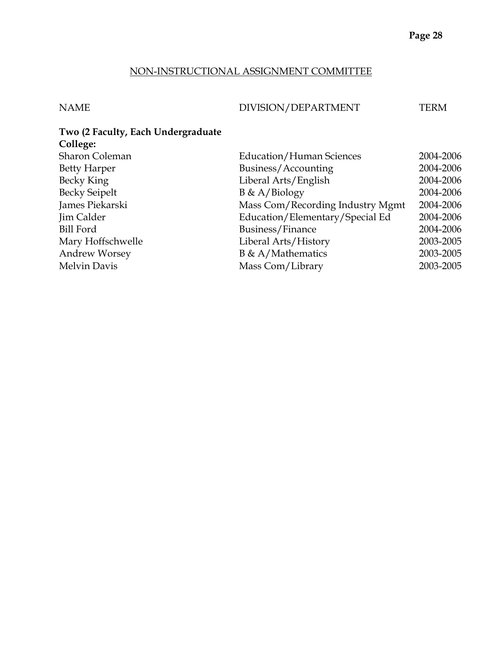#### NON-INSTRUCTIONAL ASSIGNMENT COMMITTEE

| <b>NAME</b> | DIVISION/DEPARTMENT | TERM |
|-------------|---------------------|------|
|             |                     |      |

| Two (2 Faculty, Each Undergraduate |                                  |           |
|------------------------------------|----------------------------------|-----------|
| College:                           |                                  |           |
| Sharon Coleman                     | <b>Education/Human Sciences</b>  | 2004-2006 |
| <b>Betty Harper</b>                | Business/Accounting              | 2004-2006 |
| Becky King                         | Liberal Arts/English             | 2004-2006 |
| <b>Becky Seipelt</b>               | $B \& A/Biology$                 | 2004-2006 |
| James Piekarski                    | Mass Com/Recording Industry Mgmt | 2004-2006 |
| Jim Calder                         | Education/Elementary/Special Ed  | 2004-2006 |
| Bill Ford                          | Business/Finance                 | 2004-2006 |
| Mary Hoffschwelle                  | Liberal Arts/History             | 2003-2005 |
| <b>Andrew Worsey</b>               | $B \& A/Mathematics$             | 2003-2005 |
| Melvin Davis                       | Mass Com/Library                 | 2003-2005 |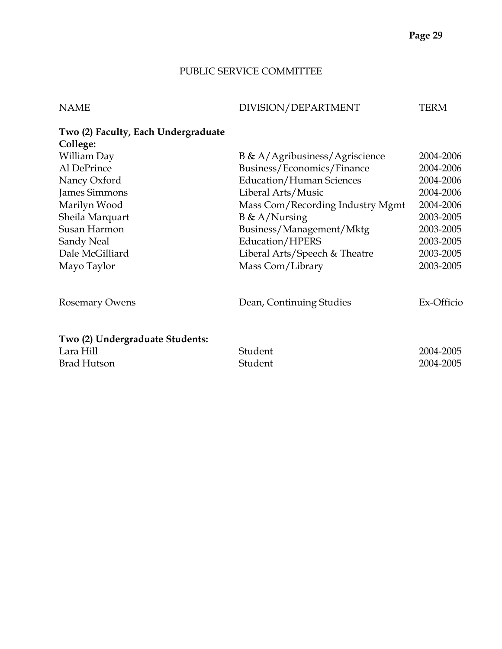#### PUBLIC SERVICE COMMITTEE

| DIVISION/DEPARTMENT              | <b>TERM</b>            |
|----------------------------------|------------------------|
|                                  |                        |
| B & A/Agribusiness/Agriscience   | 2004-2006              |
| Business/Economics/Finance       | 2004-2006              |
| <b>Education/Human Sciences</b>  | 2004-2006              |
| Liberal Arts/Music               | 2004-2006              |
| Mass Com/Recording Industry Mgmt | 2004-2006              |
| $B \& A/Nursing$                 | 2003-2005              |
| Business/Management/Mktg         | 2003-2005              |
| Education/HPERS                  | 2003-2005              |
| Liberal Arts/Speech & Theatre    | 2003-2005              |
| Mass Com/Library                 | 2003-2005              |
| Dean, Continuing Studies         | Ex-Officio             |
| Student<br>Student               | 2004-2005<br>2004-2005 |
|                                  |                        |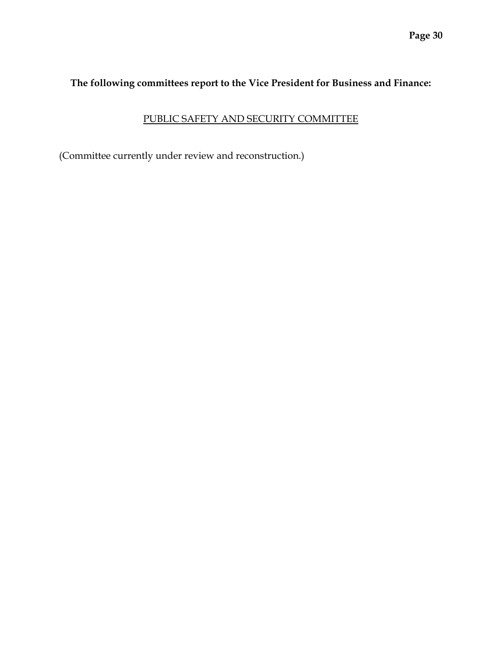## **The following committees report to the Vice President for Business and Finance:**

## PUBLIC SAFETY AND SECURITY COMMITTEE

(Committee currently under review and reconstruction.)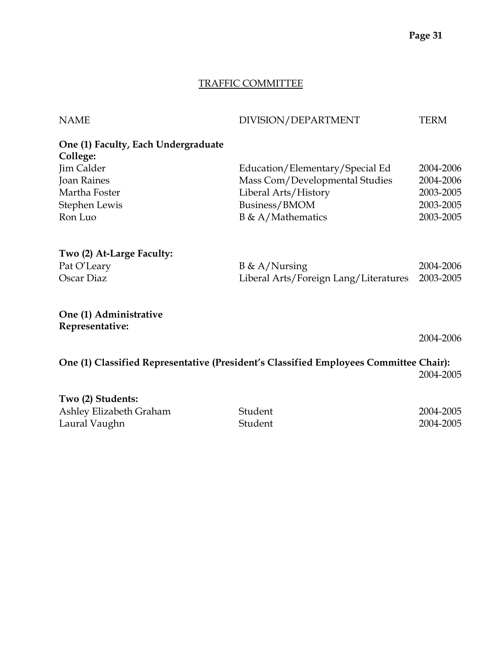## TRAFFIC COMMITTEE

| <b>NAME</b>                               | DIVISION/DEPARTMENT                   | TERM      |
|-------------------------------------------|---------------------------------------|-----------|
| One (1) Faculty, Each Undergraduate       |                                       |           |
| College:                                  |                                       |           |
| Jim Calder                                | Education/Elementary/Special Ed       | 2004-2006 |
| <b>Joan Raines</b>                        | Mass Com/Developmental Studies        | 2004-2006 |
| Martha Foster                             | Liberal Arts/History                  | 2003-2005 |
| Stephen Lewis                             | Business/BMOM                         | 2003-2005 |
| Ron Luo                                   | $B \& A/Mathematics$                  | 2003-2005 |
| Two (2) At-Large Faculty:                 |                                       |           |
| Pat O'Leary                               | $B \& A/Nursing$                      | 2004-2006 |
| Oscar Diaz                                | Liberal Arts/Foreign Lang/Literatures | 2003-2005 |
| One (1) Administrative<br>Representative: |                                       |           |
|                                           |                                       | 2004-2006 |

### **One (1) Classified Representative (President's Classified Employees Committee Chair):** 2004-2005

| Two (2) Students:       |         |           |
|-------------------------|---------|-----------|
| Ashley Elizabeth Graham | Student | 2004-2005 |
| Laural Vaughn           | Student | 2004-2005 |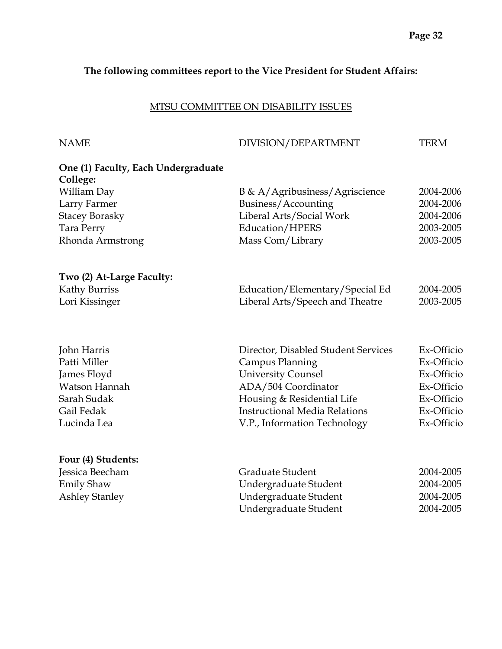## **The following committees report to the Vice President for Student Affairs:**

### MTSU COMMITTEE ON DISABILITY ISSUES

| <b>NAME</b>                                     | DIVISION/DEPARTMENT                  | <b>TERM</b> |
|-------------------------------------------------|--------------------------------------|-------------|
| One (1) Faculty, Each Undergraduate<br>College: |                                      |             |
| William Day                                     | B & A/Agribusiness/Agriscience       | 2004-2006   |
| Larry Farmer                                    | Business/Accounting                  | 2004-2006   |
| <b>Stacey Borasky</b>                           | Liberal Arts/Social Work             | 2004-2006   |
| Tara Perry                                      | Education/HPERS                      | 2003-2005   |
| Rhonda Armstrong                                | Mass Com/Library                     | 2003-2005   |
| Two (2) At-Large Faculty:                       |                                      |             |
| Kathy Burriss                                   | Education/Elementary/Special Ed      | 2004-2005   |
| Lori Kissinger                                  | Liberal Arts/Speech and Theatre      | 2003-2005   |
| John Harris                                     | Director, Disabled Student Services  | Ex-Officio  |
| Patti Miller                                    | <b>Campus Planning</b>               | Ex-Officio  |
| James Floyd                                     | <b>University Counsel</b>            | Ex-Officio  |
| Watson Hannah                                   | ADA/504 Coordinator                  | Ex-Officio  |
| Sarah Sudak                                     | Housing & Residential Life           | Ex-Officio  |
| Gail Fedak                                      | <b>Instructional Media Relations</b> | Ex-Officio  |
| Lucinda Lea                                     | V.P., Information Technology         | Ex-Officio  |
| Four (4) Students:                              |                                      |             |
| Jessica Beecham                                 | Graduate Student                     | 2004-2005   |
| <b>Emily Shaw</b>                               | Undergraduate Student                | 2004-2005   |
| <b>Ashley Stanley</b>                           | Undergraduate Student                | 2004-2005   |
|                                                 | Undergraduate Student                | 2004-2005   |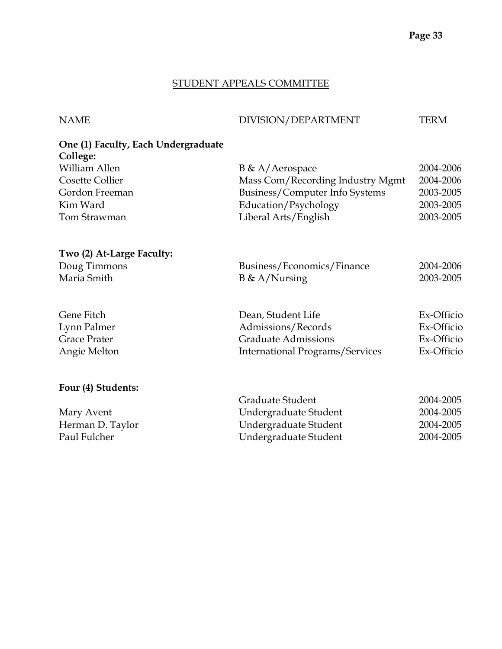#### STUDENT APPEALS COMMITTEE

# NAME DIVISION/DEPARTMENT TERM **One (1) Faculty, Each Undergraduate College:**  William Allen B & A/Aerospace 2004-2006 Cosette Collier Mass Com/Recording Industry Mgmt 2004-2006 Gordon Freeman Business/Computer Info Systems 2003-2005 Kim Ward Education/Psychology 2003-2005 Tom Strawman Liberal Arts/English 2003-2005 **Two (2) At-Large Faculty:**  Doug Timmons Business/Economics/Finance 2004-2006 Maria Smith B & A/Nursing 2003-2005 Gene Fitch Dean, Student Life Ex-Officio Lynn Palmer Admissions/Records Ex-Officio Grace Prater **Graduate Admissions** Ex-Officio Angie Melton International Programs/Services Ex-Officio **Four (4) Students:**  Graduate Student 2004-2005 Mary Avent 1986 1997 Undergraduate Student 2004-2005 Herman D. Taylor **Undergraduate Student** 2004-2005 Paul Fulcher **1988** Undergraduate Student 2004-2005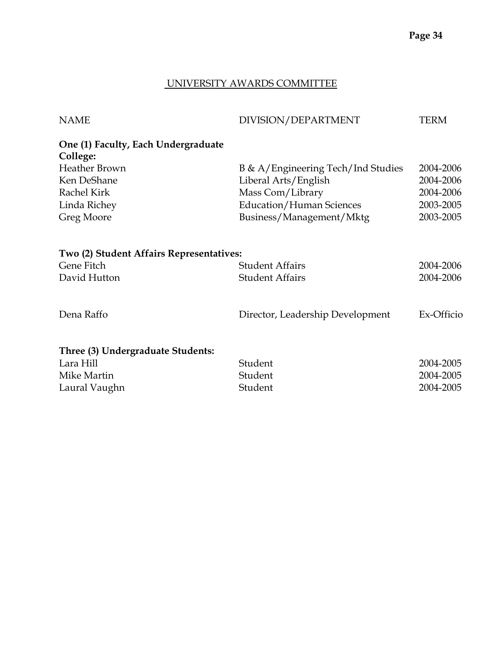#### UNIVERSITY AWARDS COMMITTEE

| <b>NAME</b>                                     | DIVISION/DEPARTMENT                | <b>TERM</b> |
|-------------------------------------------------|------------------------------------|-------------|
| One (1) Faculty, Each Undergraduate<br>College: |                                    |             |
| <b>Heather Brown</b>                            | B & A/Engineering Tech/Ind Studies | 2004-2006   |
| Ken DeShane                                     | Liberal Arts/English               | 2004-2006   |
| Rachel Kirk                                     | Mass Com/Library                   | 2004-2006   |
| Linda Richey                                    | <b>Education/Human Sciences</b>    | 2003-2005   |
| Greg Moore                                      | Business/Management/Mktg           | 2003-2005   |
|                                                 |                                    |             |
| Two (2) Student Affairs Representatives:        |                                    |             |
| Gene Fitch                                      | <b>Student Affairs</b>             | 2004-2006   |
| David Hutton                                    | <b>Student Affairs</b>             | 2004-2006   |
|                                                 |                                    |             |
| Dena Raffo                                      | Director, Leadership Development   | Ex-Officio  |
|                                                 |                                    |             |
| Three (3) Undergraduate Students:               |                                    |             |
| Lara Hill                                       | Student                            | 2004-2005   |
| Mike Martin                                     | Student                            | 2004-2005   |
| Laural Vaughn                                   | Student                            | 2004-2005   |
|                                                 |                                    |             |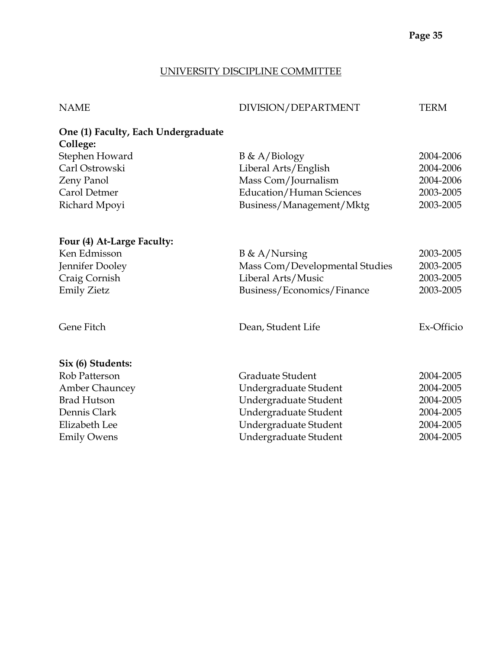#### UNIVERSITY DISCIPLINE COMMITTEE

| <b>NAME</b>                                     | DIVISION/DEPARTMENT             | <b>TERM</b>            |
|-------------------------------------------------|---------------------------------|------------------------|
| One (1) Faculty, Each Undergraduate<br>College: |                                 |                        |
| Stephen Howard                                  | $B \& A/Biology$                | 2004-2006              |
| Carl Ostrowski                                  | Liberal Arts/English            | 2004-2006              |
| Zeny Panol                                      | Mass Com/Journalism             | 2004-2006              |
| Carol Detmer                                    | <b>Education/Human Sciences</b> | 2003-2005              |
| Richard Mpoyi                                   | Business/Management/Mktg        | 2003-2005              |
|                                                 |                                 |                        |
| Four (4) At-Large Faculty:<br>Ken Edmisson      |                                 |                        |
|                                                 | $B \& A/Nursing$                | 2003-2005<br>2003-2005 |
| Jennifer Dooley                                 | Mass Com/Developmental Studies  | 2003-2005              |
| Craig Cornish                                   | Liberal Arts/Music              | 2003-2005              |
| <b>Emily Zietz</b>                              | Business/Economics/Finance      |                        |
| Gene Fitch                                      | Dean, Student Life              | Ex-Officio             |
| Six (6) Students:                               |                                 |                        |
| Rob Patterson                                   | Graduate Student                | 2004-2005              |
| <b>Amber Chauncey</b>                           | Undergraduate Student           | 2004-2005              |
| <b>Brad Hutson</b>                              | Undergraduate Student           | 2004-2005              |
| Dennis Clark                                    | Undergraduate Student           | 2004-2005              |
| Elizabeth Lee                                   | Undergraduate Student           | 2004-2005              |
| <b>Emily Owens</b>                              | Undergraduate Student           | 2004-2005              |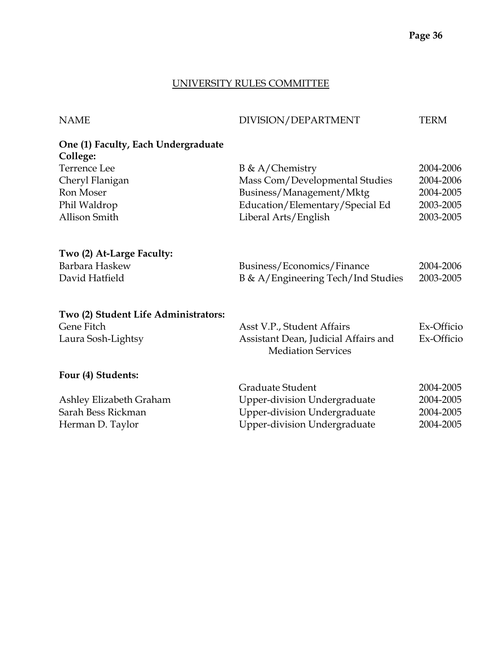## UNIVERSITY RULES COMMITTEE

| <b>NAME</b>                                     | DIVISION/DEPARTMENT                  | TERM       |
|-------------------------------------------------|--------------------------------------|------------|
| One (1) Faculty, Each Undergraduate<br>College: |                                      |            |
| <b>Terrence</b> Lee                             | $B \& A/Chemistry$                   | 2004-2006  |
| Cheryl Flanigan                                 | Mass Com/Developmental Studies       | 2004-2006  |
| Ron Moser                                       | Business/Management/Mktg             | 2004-2005  |
| Phil Waldrop                                    | Education/Elementary/Special Ed      | 2003-2005  |
| <b>Allison Smith</b>                            | Liberal Arts/English                 | 2003-2005  |
|                                                 |                                      |            |
| Two (2) At-Large Faculty:                       |                                      |            |
| Barbara Haskew                                  | Business/Economics/Finance           | 2004-2006  |
| David Hatfield                                  | B & A/Engineering Tech/Ind Studies   | 2003-2005  |
|                                                 |                                      |            |
| Two (2) Student Life Administrators:            |                                      |            |
| Gene Fitch                                      | Asst V.P., Student Affairs           | Ex-Officio |
| Laura Sosh-Lightsy                              | Assistant Dean, Judicial Affairs and | Ex-Officio |
|                                                 | <b>Mediation Services</b>            |            |
| Four (4) Students:                              |                                      |            |
|                                                 | Graduate Student                     | 2004-2005  |
| Ashley Elizabeth Graham                         | <b>Upper-division Undergraduate</b>  | 2004-2005  |
| Sarah Bess Rickman                              | <b>Upper-division Undergraduate</b>  | 2004-2005  |
| Herman D. Taylor                                | <b>Upper-division Undergraduate</b>  | 2004-2005  |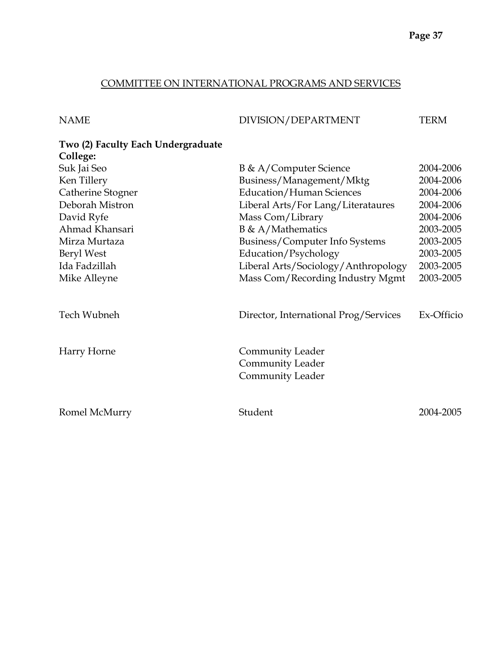## COMMITTEE ON INTERNATIONAL PROGRAMS AND SERVICES

| NAME | DIVISION/DEPARTMENT | TERM |
|------|---------------------|------|
|      |                     |      |

| Two (2) Faculty Each Undergraduate |                                                                               |            |
|------------------------------------|-------------------------------------------------------------------------------|------------|
| College:                           |                                                                               |            |
| Suk Jai Seo                        | B & A/Computer Science                                                        | 2004-2006  |
| Ken Tillery                        | Business/Management/Mktg                                                      | 2004-2006  |
| Catherine Stogner                  | <b>Education/Human Sciences</b>                                               | 2004-2006  |
| Deborah Mistron                    | Liberal Arts/For Lang/Literataures                                            | 2004-2006  |
| David Ryfe                         | Mass Com/Library                                                              | 2004-2006  |
| Ahmad Khansari                     | $B \& A/Mathematics$                                                          | 2003-2005  |
| Mirza Murtaza                      | Business/Computer Info Systems                                                | 2003-2005  |
| Beryl West                         | Education/Psychology                                                          | 2003-2005  |
| Ida Fadzillah                      | Liberal Arts/Sociology/Anthropology                                           | 2003-2005  |
| Mike Alleyne                       | Mass Com/Recording Industry Mgmt                                              | 2003-2005  |
| Tech Wubneh                        | Director, International Prog/Services                                         | Ex-Officio |
| Harry Horne                        | <b>Community Leader</b><br><b>Community Leader</b><br><b>Community Leader</b> |            |
| Romel McMurry                      | Student                                                                       | 2004-2005  |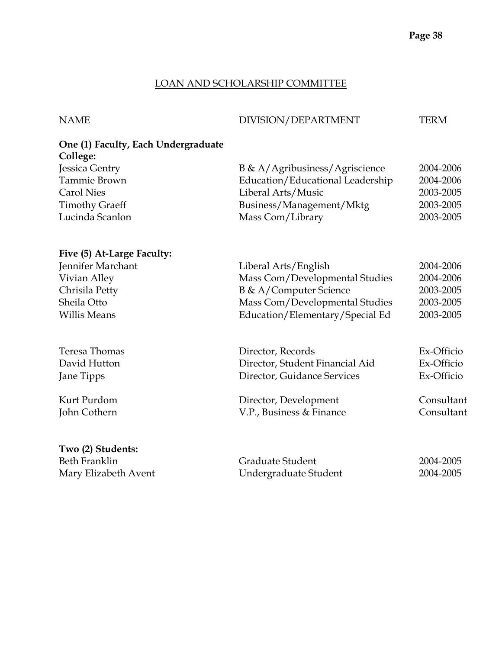#### LOAN AND SCHOLARSHIP COMMITTEE

#### NAME DIVISION/DEPARTMENT TERM

#### **One (1) Faculty, Each Undergraduate College:**

| Jessica Gentry        | $B \& A/Agribusiness/Agriscience$ | 2004-2006 |
|-----------------------|-----------------------------------|-----------|
| Tammie Brown          | Education/Educational Leadership  | 2004-2006 |
| Carol Nies            | Liberal Arts/Music                | 2003-2005 |
| <b>Timothy Graeff</b> | Business/Management/Mktg          | 2003-2005 |
| Lucinda Scanlon       | Mass Com/Library                  | 2003-2005 |
|                       |                                   |           |

#### **Five (5) At-Large Faculty:**

| Liberal Arts/English            | 2004-2006 |
|---------------------------------|-----------|
| Mass Com/Developmental Studies  | 2004-2006 |
| B & A/Computer Science          | 2003-2005 |
| Mass Com/Developmental Studies  | 2003-2005 |
| Education/Elementary/Special Ed | 2003-2005 |
|                                 |           |

Teresa Thomas Director, Records Ex-Officio David Hutton Director, Student Financial Aid Ex-Officio Jane Tipps Director, Guidance Services Ex-Officio

Kurt Purdom Director, Development Consultant John Cothern V.P., Business & Finance Consultant

# **Two (2) Students:**

Beth Franklin Graduate Student 2004-2005 Mary Elizabeth Avent **Undergraduate Student** 2004-2005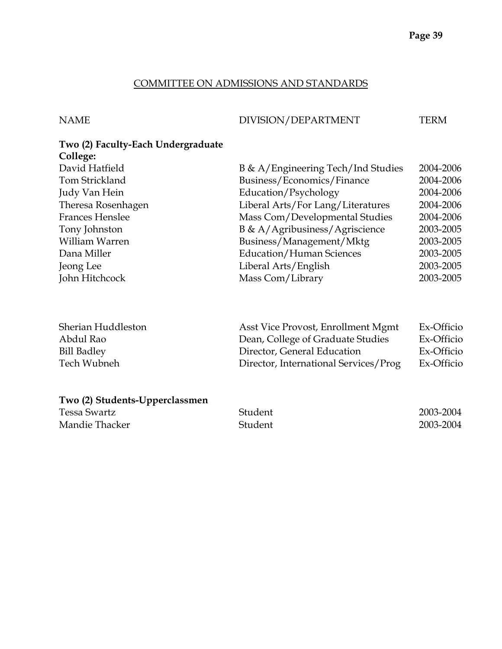#### COMMITTEE ON ADMISSIONS AND STANDARDS

#### NAME DIVISION/DEPARTMENT TERM

# **Two (2) Faculty-Each Undergraduate College:**

| David Hatfield         | B & A/Engineering Tech/Ind Studies | 2004-2006 |
|------------------------|------------------------------------|-----------|
| Tom Strickland         | Business/Economics/Finance         | 2004-2006 |
| Judy Van Hein          | Education/Psychology               | 2004-2006 |
| Theresa Rosenhagen     | Liberal Arts/For Lang/Literatures  | 2004-2006 |
| <b>Frances Henslee</b> | Mass Com/Developmental Studies     | 2004-2006 |
| Tony Johnston          | B & A/Agribusiness/Agriscience     | 2003-2005 |
| William Warren         | Business/Management/Mktg           | 2003-2005 |
| Dana Miller            | <b>Education/Human Sciences</b>    | 2003-2005 |
| Jeong Lee              | Liberal Arts/English               | 2003-2005 |
| John Hitchcock         | Mass Com/Library                   | 2003-2005 |
|                        |                                    |           |

| Sherian Huddleston | Asst Vice Provost, Enrollment Mgmt    | Ex-Officio |
|--------------------|---------------------------------------|------------|
| Abdul Rao          | Dean, College of Graduate Studies     | Ex-Officio |
| Bill Badley        | Director, General Education           | Ex-Officio |
| Tech Wubneh        | Director, International Services/Prog | Ex-Officio |

#### **Two (2) Students-Upperclassmen**

| Tessa Swartz   | Student | 2003-2004 |
|----------------|---------|-----------|
| Mandie Thacker | Student | 2003-2004 |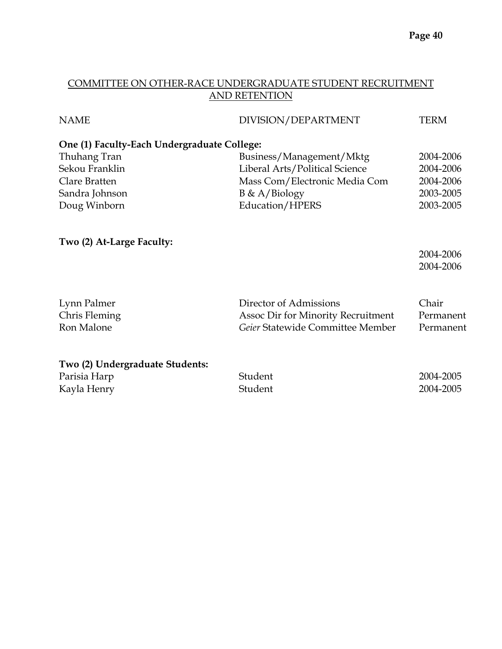### COMMITTEE ON OTHER-RACE UNDERGRADUATE STUDENT RECRUITMENT AND RETENTION

| <b>NAME</b>                                                    | DIVISION/DEPARTMENT                                                                                     | <b>TERM</b>                     |
|----------------------------------------------------------------|---------------------------------------------------------------------------------------------------------|---------------------------------|
| One (1) Faculty-Each Undergraduate College:                    |                                                                                                         |                                 |
| Thuhang Tran                                                   | Business/Management/Mktg                                                                                | 2004-2006                       |
| Sekou Franklin                                                 | Liberal Arts/Political Science                                                                          | 2004-2006                       |
| Clare Bratten                                                  | Mass Com/Electronic Media Com                                                                           | 2004-2006                       |
| Sandra Johnson                                                 | $B \& A/Biology$                                                                                        | 2003-2005                       |
| Doug Winborn                                                   | Education/HPERS                                                                                         | 2003-2005                       |
| Two (2) At-Large Faculty:                                      |                                                                                                         | 2004-2006<br>2004-2006          |
| Lynn Palmer<br>Chris Fleming<br>Ron Malone                     | Director of Admissions<br><b>Assoc Dir for Minority Recruitment</b><br>Geier Statewide Committee Member | Chair<br>Permanent<br>Permanent |
| Two (2) Undergraduate Students:<br>Parisia Harp<br>Kayla Henry | Student<br>Student                                                                                      | 2004-2005<br>2004-2005          |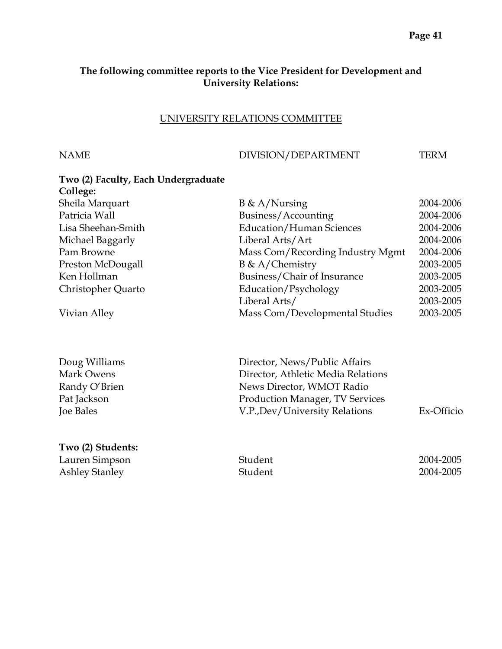#### **The following committee reports to the Vice President for Development and University Relations:**

#### UNIVERSITY RELATIONS COMMITTEE

NAME DIVISION/DEPARTMENT TERM

| Two (2) Faculty, Each Undergraduate |                                  |           |
|-------------------------------------|----------------------------------|-----------|
| College:                            |                                  |           |
| Sheila Marquart                     | $B \& A/Nursing$                 | 2004-2006 |
| Patricia Wall                       | Business/Accounting              | 2004-2006 |
| Lisa Sheehan-Smith                  | <b>Education/Human Sciences</b>  | 2004-2006 |
| Michael Baggarly                    | Liberal Arts/Art                 | 2004-2006 |
| Pam Browne                          | Mass Com/Recording Industry Mgmt | 2004-2006 |
| Preston McDougall                   | $B \& A/Chemistry$               | 2003-2005 |
| Ken Hollman                         | Business/Chair of Insurance      | 2003-2005 |
| Christopher Quarto                  | Education/Psychology             | 2003-2005 |
|                                     | Liberal Arts/                    | 2003-2005 |
| Vivian Alley                        | Mass Com/Developmental Studies   | 2003-2005 |

#### **Two (2) Students:**

Lauren Simpson Student 2004-2005 Ashley Stanley **2004-2005** 

Doug Williams Director, News/Public Affairs Mark Owens Director, Athletic Media Relations Randy O'Brien News Director, WMOT Radio Pat Jackson **Production Manager**, TV Services Joe Bales V.P.,Dev/University Relations Ex-Officio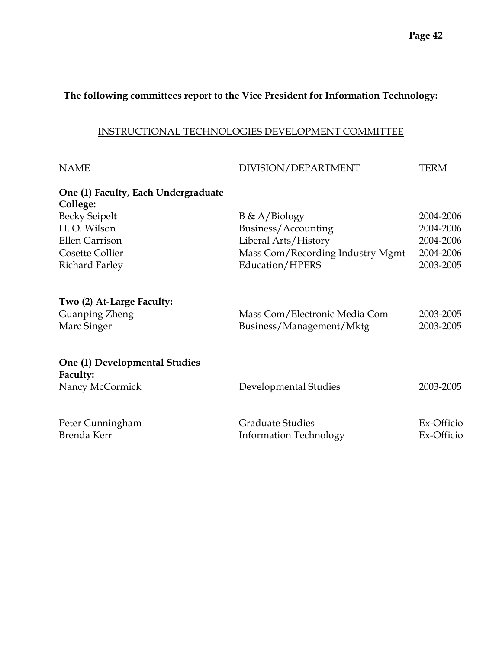## **The following committees report to the Vice President for Information Technology:**

#### INSTRUCTIONAL TECHNOLOGIES DEVELOPMENT COMMITTEE

| <b>NAME</b>                                     | DIVISION/DEPARTMENT              | TERM       |
|-------------------------------------------------|----------------------------------|------------|
| One (1) Faculty, Each Undergraduate<br>College: |                                  |            |
| <b>Becky Seipelt</b>                            | $B \& A/Biology$                 | 2004-2006  |
| H.O. Wilson                                     | Business/Accounting              | 2004-2006  |
| <b>Ellen Garrison</b>                           | Liberal Arts/History             | 2004-2006  |
| Cosette Collier                                 | Mass Com/Recording Industry Mgmt | 2004-2006  |
| <b>Richard Farley</b>                           | Education/HPERS                  | 2003-2005  |
| Two (2) At-Large Faculty:                       |                                  |            |
| <b>Guanping Zheng</b>                           | Mass Com/Electronic Media Com    | 2003-2005  |
| Marc Singer                                     | Business/Management/Mktg         | 2003-2005  |
| One (1) Developmental Studies<br>Faculty:       |                                  |            |
| Nancy McCormick                                 | Developmental Studies            | 2003-2005  |
|                                                 |                                  |            |
| Peter Cunningham                                | <b>Graduate Studies</b>          | Ex-Officio |
| Brenda Kerr                                     | <b>Information Technology</b>    | Ex-Officio |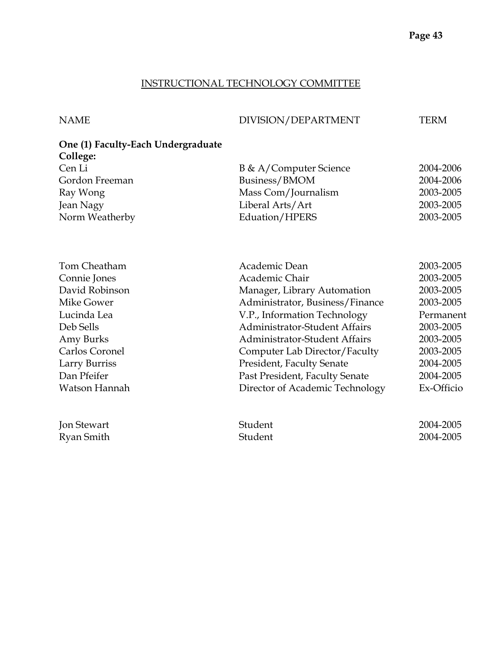#### INSTRUCTIONAL TECHNOLOGY COMMITTEE

## NAME DIVISION/DEPARTMENT TERM

| One (1) Faculty-Each Undergraduate |                        |           |
|------------------------------------|------------------------|-----------|
| College:                           |                        |           |
| Cen Li                             | B & A/Computer Science | 2004-2006 |
| Gordon Freeman                     | Business/BMOM          | 2004-2006 |
| Ray Wong                           | Mass Com/Journalism    | 2003-2005 |
| Jean Nagy                          | Liberal Arts/Art       | 2003-2005 |
| Norm Weatherby                     | Eduation/HPERS         | 2003-2005 |

| Tom Cheatham      | Academic Dean                        | 2003-2005  |
|-------------------|--------------------------------------|------------|
| Connie Jones      | Academic Chair                       | 2003-2005  |
| David Robinson    | Manager, Library Automation          | 2003-2005  |
| <b>Mike Gower</b> | Administrator, Business/Finance      | 2003-2005  |
| Lucinda Lea       | V.P., Information Technology         | Permanent  |
| Deb Sells         | <b>Administrator-Student Affairs</b> | 2003-2005  |
| Amy Burks         | Administrator-Student Affairs        | 2003-2005  |
| Carlos Coronel    | Computer Lab Director/Faculty        | 2003-2005  |
| Larry Burriss     | President, Faculty Senate            | 2004-2005  |
| Dan Pfeifer       | Past President, Faculty Senate       | 2004-2005  |
| Watson Hannah     | Director of Academic Technology      | Ex-Officio |
| Jon Stewart       | Student                              | 2004-2005  |
| Ryan Smith        | Student                              | 2004-2005  |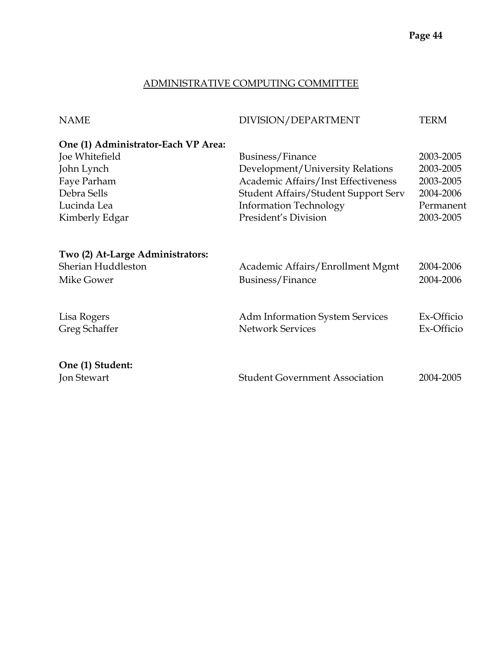## ADMINISTRATIVE COMPUTING COMMITTEE

| <b>NAME</b>                         | DIVISION/DEPARTMENT                         | TERM       |
|-------------------------------------|---------------------------------------------|------------|
| One (1) Administrator-Each VP Area: |                                             |            |
| Joe Whitefield                      | Business/Finance                            | 2003-2005  |
| John Lynch                          | Development/University Relations            | 2003-2005  |
| Faye Parham                         | Academic Affairs/Inst Effectiveness         | 2003-2005  |
| Debra Sells                         | <b>Student Affairs/Student Support Serv</b> | 2004-2006  |
| Lucinda Lea                         | <b>Information Technology</b>               | Permanent  |
| Kimberly Edgar                      | President's Division                        | 2003-2005  |
| Two (2) At-Large Administrators:    |                                             |            |
| Sherian Huddleston                  | Academic Affairs/Enrollment Mgmt            | 2004-2006  |
| Mike Gower                          | Business/Finance                            | 2004-2006  |
| Lisa Rogers                         | <b>Adm Information System Services</b>      | Ex-Officio |
| Greg Schaffer                       | <b>Network Services</b>                     | Ex-Officio |
| One (1) Student:                    |                                             |            |
| <b>Jon Stewart</b>                  | <b>Student Government Association</b>       | 2004-2005  |